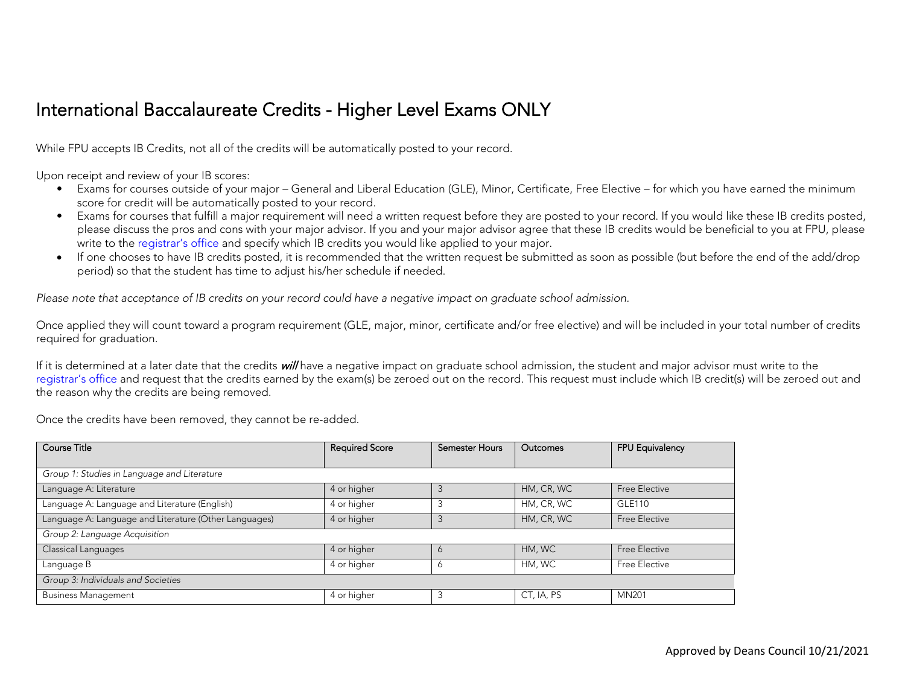## International Baccalaureate Credits **‐** Higher Level Exams ONLY

While FPU accepts IB Credits, not all of the credits will be automatically posted to your record.

Upon receipt and review of your IB scores:

- Exams for courses outside of your major General and Liberal Education (GLE), Minor, Certificate, Free Elective for which you have earned the minimum score for credit will be automatically posted to your record.
- Exams for courses that fulfill a major requirement will need a written request before they are posted to your record. If you would like these IB credits posted, please discuss the pros and cons with your major advisor. If you and your major advisor agree that these IB credits would be beneficial to you at FPU, please write to the registrar's office and specify which IB credits you would like applied to your major.
- If one chooses to have IB credits posted, it is recommended that the written request be submitted as soon as possible (but before the end of the add/drop period) so that the student has time to adjust his/her schedule if needed.

*Please note that acceptance of IB credits on your record could have a negative impact on graduate school admission.* 

Once applied they will count toward a program requirement (GLE, major, minor, certificate and/or free elective) and will be included in your total number of credits required for graduation.

If it is determined at a later date that the credits will have a negative impact on graduate school admission, the student and major advisor must write to the registrar's office and request that the credits earned by the exam(s) be zeroed out on the record. This request must include which IB credit(s) will be zeroed out and the reason why the credits are being removed.

Once the credits have been removed, they cannot be re-added.

| <b>Course Title</b>                                   | <b>Required Score</b> | <b>Semester Hours</b> | <b>Outcomes</b> | FPU Equivalency |  |  |
|-------------------------------------------------------|-----------------------|-----------------------|-----------------|-----------------|--|--|
|                                                       |                       |                       |                 |                 |  |  |
| Group 1: Studies in Language and Literature           |                       |                       |                 |                 |  |  |
| Language A: Literature                                | 4 or higher           |                       | HM, CR, WC      | Free Elective   |  |  |
| Language A: Language and Literature (English)         | 4 or higher           |                       | HM, CR, WC      | <b>GLE110</b>   |  |  |
| Language A: Language and Literature (Other Languages) | 4 or higher           |                       | HM, CR, WC      | Free Elective   |  |  |
| Group 2: Language Acquisition                         |                       |                       |                 |                 |  |  |
| Classical Languages                                   | 4 or higher           |                       | HM, WC          | Free Elective   |  |  |
| Language B                                            | 4 or higher           | O                     | HM, WC          | Free Elective   |  |  |
| Group 3: Individuals and Societies                    |                       |                       |                 |                 |  |  |
| <b>Business Management</b>                            | 4 or higher           |                       | CT, IA, PS      | <b>MN201</b>    |  |  |